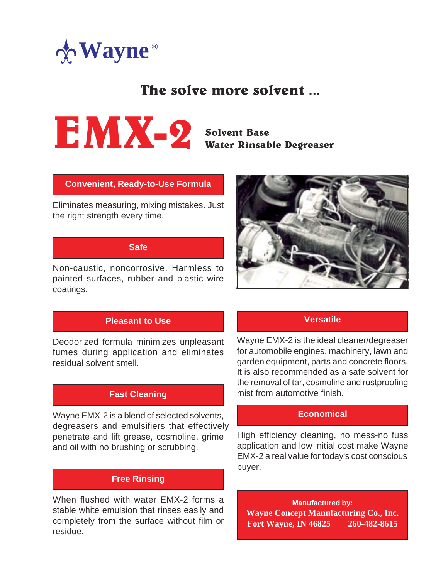

# The solve more solvent ...



Solvent Base Water Rinsable Degreaser

#### **Convenient, Ready-to-Use Formula**

Eliminates measuring, mixing mistakes. Just the right strength every time.

#### **Safe**

Non-caustic, noncorrosive. Harmless to painted surfaces, rubber and plastic wire coatings.



#### **Pleasant to Use**

Deodorized formula minimizes unpleasant fumes during application and eliminates residual solvent smell.

#### **Fast Cleaning**

Wayne EMX-2 is a blend of selected solvents, degreasers and emulsifiers that effectively penetrate and lift grease, cosmoline, grime and oil with no brushing or scrubbing.

#### **Free Rinsing**

When flushed with water EMX-2 forms a stable white emulsion that rinses easily and completely from the surface without film or residue.

#### **Versatile**

Wayne EMX-2 is the ideal cleaner/degreaser for automobile engines, machinery, lawn and garden equipment, parts and concrete floors. It is also recommended as a safe solvent for the removal of tar, cosmoline and rustproofing mist from automotive finish.

#### **Economical**

High efficiency cleaning, no mess-no fuss application and low initial cost make Wayne EMX-2 a real value for today's cost conscious buyer.

**Manufactured by: Wayne Concept Manufacturing Co., Inc. Fort Wayne, IN 46825 260-482-8615**